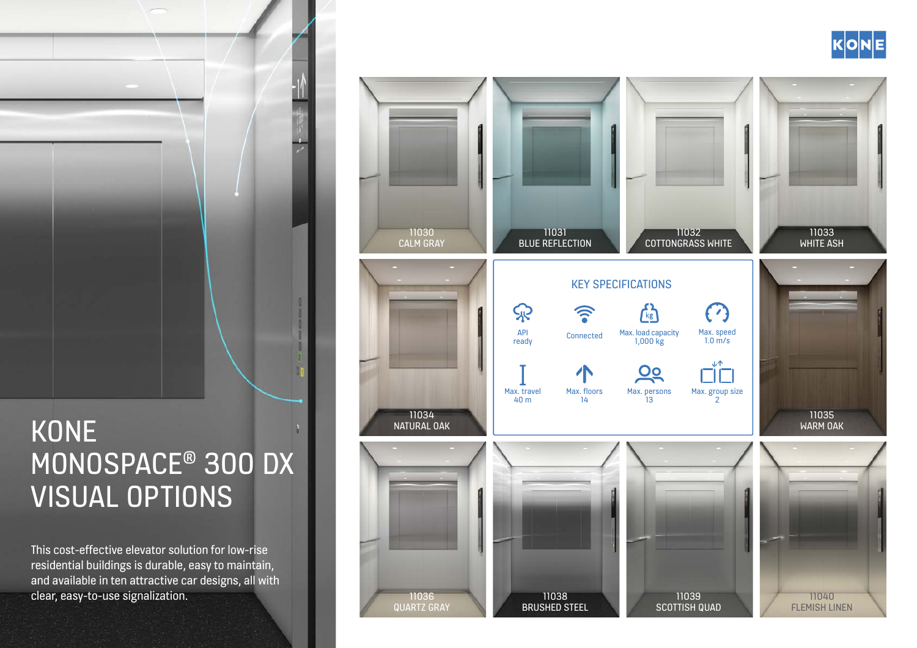# **KONE** MONOSPACE® 300 DX VISUAL OPTIONS

This cost-effective elevator solution for low-rise residential buildings is durable, easy to maintain, and available in ten attractive car designs, all with clear, easy-to-use signalization.